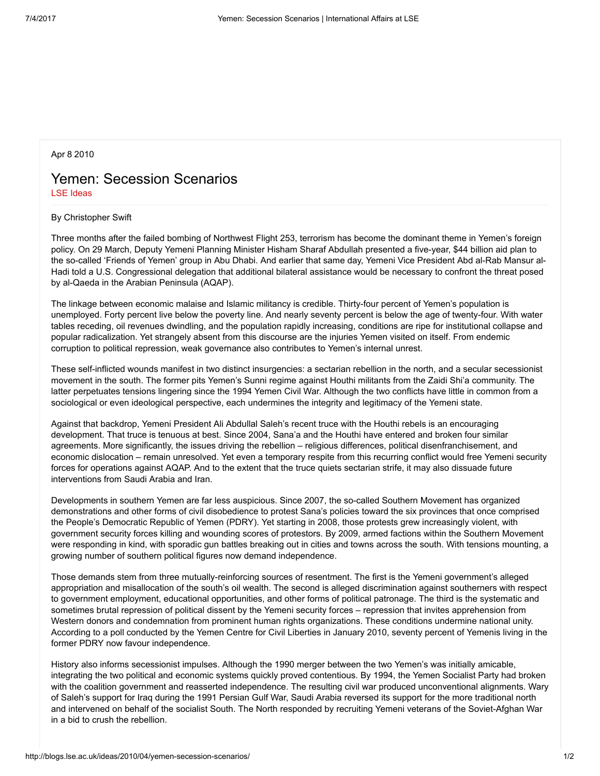Apr 8 2010

## Yemen: Secession Scenarios LSE [Ideas](http://blogs.lse.ac.uk/ideas/author/kilari/)

## By Christopher Swift

Three months after the failed bombing of Northwest Flight 253, terrorism has become the dominant theme in Yemen's foreign policy. On 29 March, Deputy Yemeni Planning Minister Hisham Sharaf Abdullah presented a five-year, \$44 billion aid plan to the so-called 'Friends of Yemen' group in Abu Dhabi. And earlier that same day, Yemeni Vice President Abd al-Rab Mansur al-Hadi told a U.S. Congressional delegation that additional bilateral assistance would be necessary to confront the threat posed by al-Qaeda in the Arabian Peninsula (AQAP).

The linkage between economic malaise and Islamic militancy is credible. Thirty-four percent of Yemen's population is unemployed. Forty percent live below the poverty line. And nearly seventy percent is below the age of twenty-four. With water tables receding, oil revenues dwindling, and the population rapidly increasing, conditions are ripe for institutional collapse and popular radicalization. Yet strangely absent from this discourse are the injuries Yemen visited on itself. From endemic corruption to political repression, weak governance also contributes to Yemen's internal unrest.

These self-inflicted wounds manifest in two distinct insurgencies: a sectarian rebellion in the north, and a secular secessionist movement in the south. The former pits Yemen's Sunni regime against Houthi militants from the Zaidi Shi'a community. The latter perpetuates tensions lingering since the 1994 Yemen Civil War. Although the two conflicts have little in common from a sociological or even ideological perspective, each undermines the integrity and legitimacy of the Yemeni state.

Against that backdrop, Yemeni President Ali Abdullal Saleh's recent truce with the Houthi rebels is an encouraging development. That truce is tenuous at best. Since 2004, Sana'a and the Houthi have entered and broken four similar agreements. More significantly, the issues driving the rebellion – religious differences, political disenfranchisement, and economic dislocation – remain unresolved. Yet even a temporary respite from this recurring conflict would free Yemeni security forces for operations against AQAP. And to the extent that the truce quiets sectarian strife, it may also dissuade future interventions from Saudi Arabia and Iran.

Developments in southern Yemen are far less auspicious. Since 2007, the so-called Southern Movement has organized demonstrations and other forms of civil disobedience to protest Sana's policies toward the six provinces that once comprised the People's Democratic Republic of Yemen (PDRY). Yet starting in 2008, those protests grew increasingly violent, with government security forces killing and wounding scores of protestors. By 2009, armed factions within the Southern Movement were responding in kind, with sporadic gun battles breaking out in cities and towns across the south. With tensions mounting, a growing number of southern political figures now demand independence.

Those demands stem from three mutually-reinforcing sources of resentment. The first is the Yemeni government's alleged appropriation and misallocation of the south's oil wealth. The second is alleged discrimination against southerners with respect to government employment, educational opportunities, and other forms of political patronage. The third is the systematic and sometimes brutal repression of political dissent by the Yemeni security forces – repression that invites apprehension from Western donors and condemnation from prominent human rights organizations. These conditions undermine national unity. According to a poll conducted by the Yemen Centre for Civil Liberties in January 2010, seventy percent of Yemenis living in the former PDRY now favour independence.

History also informs secessionist impulses. Although the 1990 merger between the two Yemen's was initially amicable, integrating the two political and economic systems quickly proved contentious. By 1994, the Yemen Socialist Party had broken with the coalition government and reasserted independence. The resulting civil war produced unconventional alignments. Wary of Saleh's support for Iraq during the 1991 Persian Gulf War, Saudi Arabia reversed its support for the more traditional north and intervened on behalf of the socialist South. The North responded by recruiting Yemeni veterans of the Soviet-Afghan War in a bid to crush the rebellion.